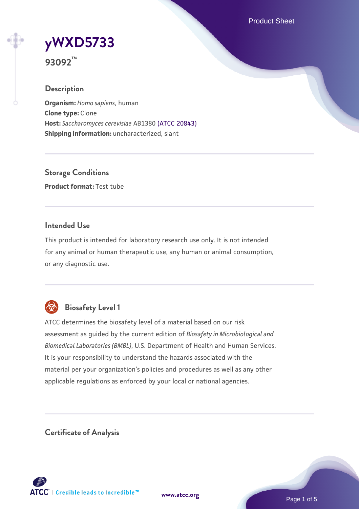Product Sheet

# **[yWXD5733](https://www.atcc.org/products/93092)**

**93092™**

# **Description**

**Organism:** *Homo sapiens*, human **Clone type:** Clone **Host:** *Saccharomyces cerevisiae* AB1380 [\(ATCC 20843\)](https://www.atcc.org/products/20843) **Shipping information:** uncharacterized, slant

**Storage Conditions Product format:** Test tube

# **Intended Use**

This product is intended for laboratory research use only. It is not intended for any animal or human therapeutic use, any human or animal consumption, or any diagnostic use.



# **Biosafety Level 1**

ATCC determines the biosafety level of a material based on our risk assessment as guided by the current edition of *Biosafety in Microbiological and Biomedical Laboratories (BMBL)*, U.S. Department of Health and Human Services. It is your responsibility to understand the hazards associated with the material per your organization's policies and procedures as well as any other applicable regulations as enforced by your local or national agencies.

**Certificate of Analysis**

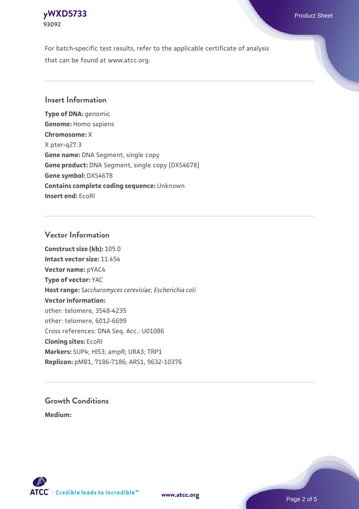#### **[yWXD5733](https://www.atcc.org/products/93092)** Product Sheet **93092**

For batch-specific test results, refer to the applicable certificate of analysis that can be found at www.atcc.org.

# **Insert Information**

**Type of DNA:** genomic **Genome:** Homo sapiens **Chromosome:** X X pter-q27.3 **Gene name:** DNA Segment, single copy **Gene product:** DNA Segment, single copy [DXS4678] **Gene symbol:** DXS4678 **Contains complete coding sequence:** Unknown **Insert end:** EcoRI

# **Vector Information**

**Construct size (kb):** 105.0 **Intact vector size:** 11.454 **Vector name:** pYAC4 **Type of vector:** YAC **Host range:** *Saccharomyces cerevisiae*; *Escherichia coli* **Vector information:** other: telomere, 3548-4235 other: telomere, 6012-6699 Cross references: DNA Seq. Acc.: U01086 **Cloning sites:** EcoRI **Markers:** SUP4; HIS3; ampR; URA3; TRP1 **Replicon:** pMB1, 7186-7186; ARS1, 9632-10376

# **Growth Conditions**

**Medium:** 



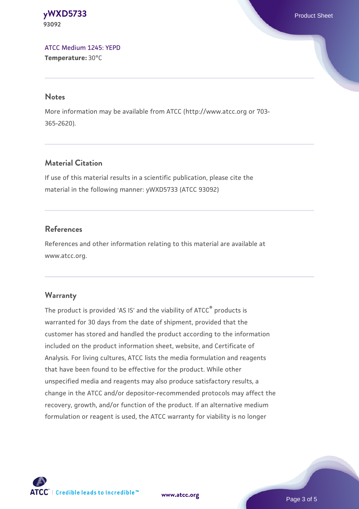**[yWXD5733](https://www.atcc.org/products/93092)** Product Sheet **93092**

[ATCC Medium 1245: YEPD](https://www.atcc.org/-/media/product-assets/documents/microbial-media-formulations/1/2/4/5/atcc-medium-1245.pdf?rev=705ca55d1b6f490a808a965d5c072196) **Temperature:** 30°C

#### **Notes**

More information may be available from ATCC (http://www.atcc.org or 703- 365-2620).

# **Material Citation**

If use of this material results in a scientific publication, please cite the material in the following manner: yWXD5733 (ATCC 93092)

# **References**

References and other information relating to this material are available at www.atcc.org.

#### **Warranty**

The product is provided 'AS IS' and the viability of ATCC® products is warranted for 30 days from the date of shipment, provided that the customer has stored and handled the product according to the information included on the product information sheet, website, and Certificate of Analysis. For living cultures, ATCC lists the media formulation and reagents that have been found to be effective for the product. While other unspecified media and reagents may also produce satisfactory results, a change in the ATCC and/or depositor-recommended protocols may affect the recovery, growth, and/or function of the product. If an alternative medium formulation or reagent is used, the ATCC warranty for viability is no longer



**[www.atcc.org](http://www.atcc.org)**

Page 3 of 5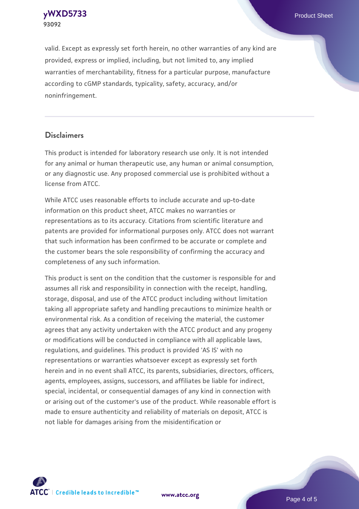**[yWXD5733](https://www.atcc.org/products/93092)** Product Sheet **93092**

valid. Except as expressly set forth herein, no other warranties of any kind are provided, express or implied, including, but not limited to, any implied warranties of merchantability, fitness for a particular purpose, manufacture according to cGMP standards, typicality, safety, accuracy, and/or noninfringement.

#### **Disclaimers**

This product is intended for laboratory research use only. It is not intended for any animal or human therapeutic use, any human or animal consumption, or any diagnostic use. Any proposed commercial use is prohibited without a license from ATCC.

While ATCC uses reasonable efforts to include accurate and up-to-date information on this product sheet, ATCC makes no warranties or representations as to its accuracy. Citations from scientific literature and patents are provided for informational purposes only. ATCC does not warrant that such information has been confirmed to be accurate or complete and the customer bears the sole responsibility of confirming the accuracy and completeness of any such information.

This product is sent on the condition that the customer is responsible for and assumes all risk and responsibility in connection with the receipt, handling, storage, disposal, and use of the ATCC product including without limitation taking all appropriate safety and handling precautions to minimize health or environmental risk. As a condition of receiving the material, the customer agrees that any activity undertaken with the ATCC product and any progeny or modifications will be conducted in compliance with all applicable laws, regulations, and guidelines. This product is provided 'AS IS' with no representations or warranties whatsoever except as expressly set forth herein and in no event shall ATCC, its parents, subsidiaries, directors, officers, agents, employees, assigns, successors, and affiliates be liable for indirect, special, incidental, or consequential damages of any kind in connection with or arising out of the customer's use of the product. While reasonable effort is made to ensure authenticity and reliability of materials on deposit, ATCC is not liable for damages arising from the misidentification or



**[www.atcc.org](http://www.atcc.org)**

Page 4 of 5